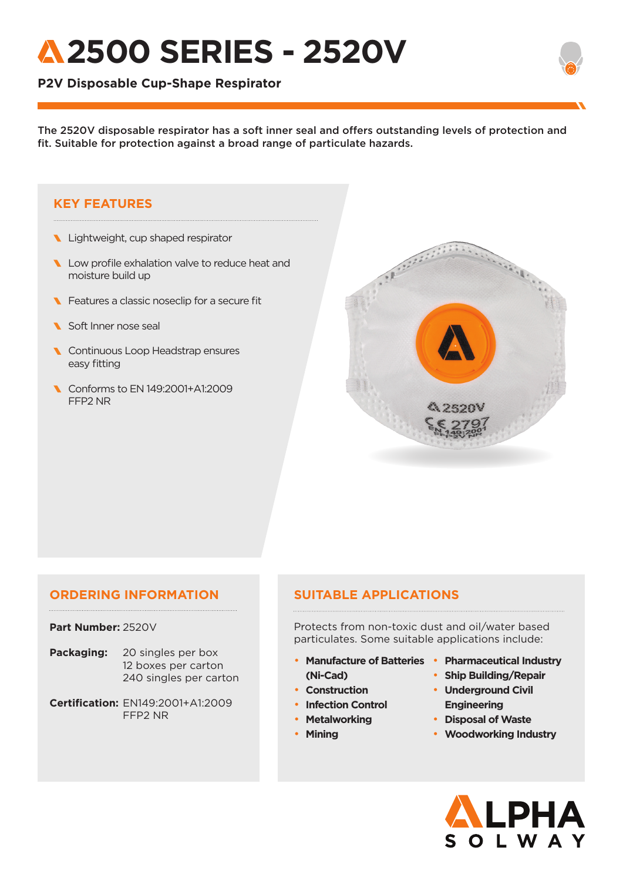# **2500 SERIES - 2520V**

## **P2V Disposable Cup-Shape Respirator**

The 2520V disposable respirator has a soft inner seal and offers outstanding levels of protection and fit. Suitable for protection against a broad range of particulate hazards.

## **KEY FEATURES**

- Lightweight, cup shaped respirator
- Low profile exhalation valve to reduce heat and moisture build up
- **Features a classic noseclip for a secure fit**
- Soft Inner nose seal
- **Continuous Loop Headstrap ensures** easy fitting
- Conforms to EN 149:2001+A1:2009 FFP2 NR



## **ORDERING INFORMATION**

### **Part Number:** 2520V

- **Packaging:** 20 singles per box 12 boxes per carton 240 singles per carton
- **Certification:** EN149:2001+A1:2009 FFP2 NR

## **SUITABLE APPLICATIONS**

Protects from non-toxic dust and oil/water based particulates. Some suitable applications include:

- **Manufacture of Batteries Pharmaceutical Industry (Ni-Cad)**
- **Construction**
- **Infection Control**
- **Metalworking**
- **Mining**
- 
- **Ship Building/Repair** • **Underground Civil Engineering**
- **Disposal of Waste**
- **Woodworking Industry**